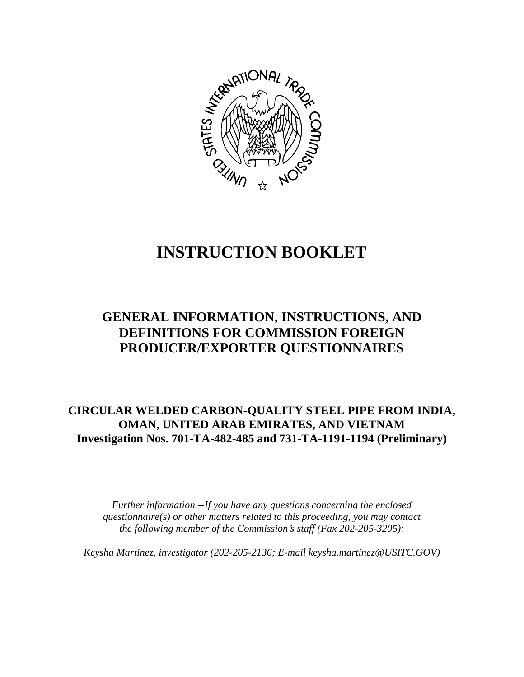

# **INSTRUCTION BOOKLET**

# **GENERAL INFORMATION, INSTRUCTIONS, AND DEFINITIONS FOR COMMISSION FOREIGN PRODUCER/EXPORTER QUESTIONNAIRES**

# **CIRCULAR WELDED CARBON-QUALITY STEEL PIPE FROM INDIA, OMAN, UNITED ARAB EMIRATES, AND VIETNAM Investigation Nos. 701-TA-482-485 and 731-TA-1191-1194 (Preliminary)**

*Further information.--If you have any questions concerning the enclosed questionnaire(s) or other matters related to this proceeding, you may contact the following member of the Commission*=*s staff (Fax 202-205-3205):* 

*Keysha Martinez, investigator (202-205-2136; E-mail keysha.martinez@USITC.GOV)*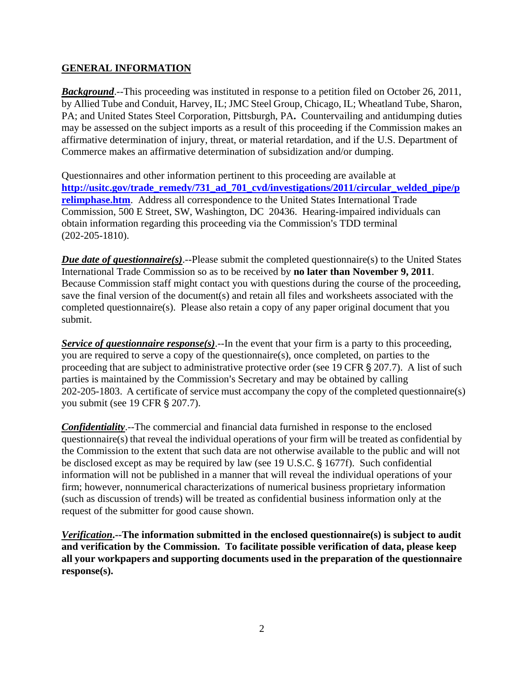### **GENERAL INFORMATION**

**Background.**--This proceeding was instituted in response to a petition filed on October 26, 2011, by Allied Tube and Conduit, Harvey, IL; JMC Steel Group, Chicago, IL; Wheatland Tube, Sharon, PA; and United States Steel Corporation, Pittsburgh, PA**.** Countervailing and antidumping duties may be assessed on the subject imports as a result of this proceeding if the Commission makes an affirmative determination of injury, threat, or material retardation, and if the U.S. Department of Commerce makes an affirmative determination of subsidization and/or dumping.

Questionnaires and other information pertinent to this proceeding are available at **http://usitc.gov/trade\_remedy/731\_ad\_701\_cvd/investigations/2011/circular\_welded\_pipe/p relimphase.htm**. Address all correspondence to the United States International Trade Commission, 500 E Street, SW, Washington, DC 20436. Hearing-impaired individuals can obtain information regarding this proceeding via the Commission's TDD terminal (202-205-1810).

*Due date of questionnaire(s)*.--Please submit the completed questionnaire(s) to the United States International Trade Commission so as to be received by **no later than November 9, 2011**. Because Commission staff might contact you with questions during the course of the proceeding, save the final version of the document(s) and retain all files and worksheets associated with the completed questionnaire(s). Please also retain a copy of any paper original document that you submit.

*Service of questionnaire response(s).*--In the event that your firm is a party to this proceeding, you are required to serve a copy of the questionnaire(s), once completed, on parties to the proceeding that are subject to administrative protective order (see 19 CFR  $\S 207.7$ ). A list of such parties is maintained by the Commission's Secretary and may be obtained by calling 202-205-1803. A certificate of service must accompany the copy of the completed questionnaire(s) you submit (see 19 CFR § 207.7).

*Confidentiality*.--The commercial and financial data furnished in response to the enclosed questionnaire(s) that reveal the individual operations of your firm will be treated as confidential by the Commission to the extent that such data are not otherwise available to the public and will not be disclosed except as may be required by law (see 19 U.S.C.  $\S$  1677f). Such confidential information will not be published in a manner that will reveal the individual operations of your firm; however, nonnumerical characterizations of numerical business proprietary information (such as discussion of trends) will be treated as confidential business information only at the request of the submitter for good cause shown.

*Verification***.--The information submitted in the enclosed questionnaire(s) is subject to audit and verification by the Commission. To facilitate possible verification of data, please keep all your workpapers and supporting documents used in the preparation of the questionnaire response(s).**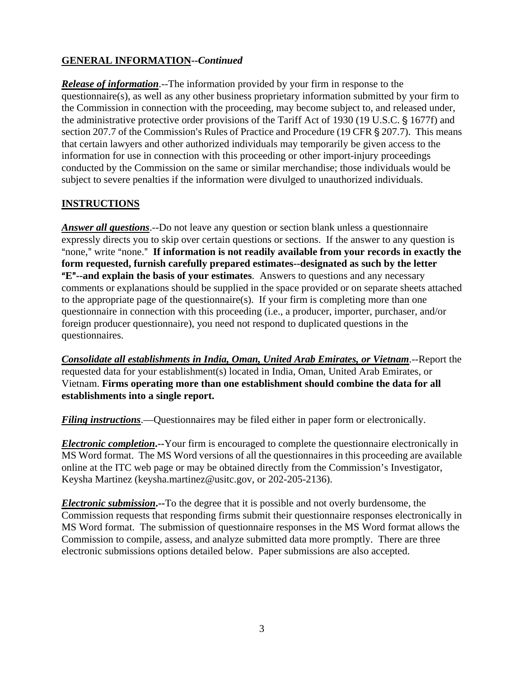# **GENERAL INFORMATION--***Continued*

*Release of information*.--The information provided by your firm in response to the questionnaire(s), as well as any other business proprietary information submitted by your firm to the Commission in connection with the proceeding, may become subject to, and released under, the administrative protective order provisions of the Tariff Act of 1930 (19 U.S.C. § 1677f) and section 207.7 of the Commission's Rules of Practice and Procedure (19 CFR § 207.7). This means that certain lawyers and other authorized individuals may temporarily be given access to the information for use in connection with this proceeding or other import-injury proceedings conducted by the Commission on the same or similar merchandise; those individuals would be subject to severe penalties if the information were divulged to unauthorized individuals.

# **INSTRUCTIONS**

*Answer all questions*.--Do not leave any question or section blank unless a questionnaire expressly directs you to skip over certain questions or sections. If the answer to any question is "none," write "none." If information is not readily available from your records in exactly the **form requested, furnish carefully prepared estimates--designated as such by the letter E<sup>"</sup>--and explain the basis of your estimates**. Answers to questions and any necessary comments or explanations should be supplied in the space provided or on separate sheets attached to the appropriate page of the questionnaire(s). If your firm is completing more than one questionnaire in connection with this proceeding (i.e., a producer, importer, purchaser, and/or foreign producer questionnaire), you need not respond to duplicated questions in the questionnaires.

*Consolidate all establishments in India, Oman, United Arab Emirates, or Vietnam*.--Report the requested data for your establishment(s) located in India, Oman, United Arab Emirates, or Vietnam. **Firms operating more than one establishment should combine the data for all establishments into a single report.** 

*Filing instructions*.—Questionnaires may be filed either in paper form or electronically.

*Electronic completion***.--**Your firm is encouraged to complete the questionnaire electronically in MS Word format. The MS Word versions of all the questionnaires in this proceeding are available online at the ITC web page or may be obtained directly from the Commission's Investigator, Keysha Martinez (keysha.martinez@usitc.gov, or 202-205-2136).

*Electronic submission***.--**To the degree that it is possible and not overly burdensome, the Commission requests that responding firms submit their questionnaire responses electronically in MS Word format. The submission of questionnaire responses in the MS Word format allows the Commission to compile, assess, and analyze submitted data more promptly. There are three electronic submissions options detailed below. Paper submissions are also accepted.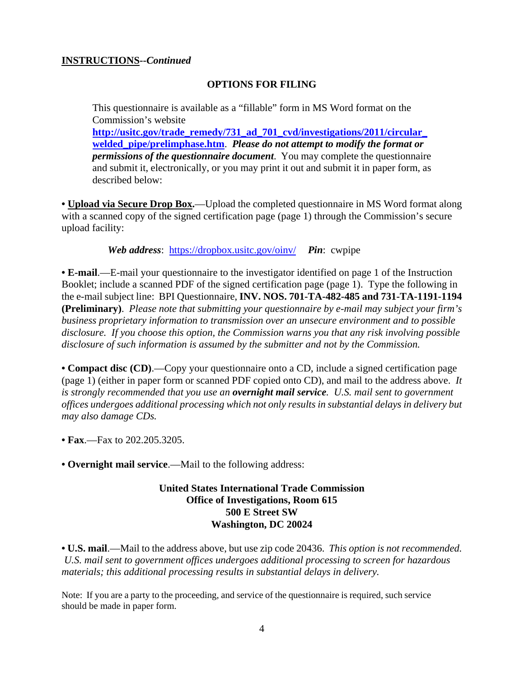#### **INSTRUCTIONS--***Continued*

#### **OPTIONS FOR FILING**

This questionnaire is available as a "fillable" form in MS Word format on the Commission's website

**http://usitc.gov/trade\_remedy/731\_ad\_701\_cvd/investigations/2011/circular\_ welded\_pipe/prelimphase.htm**. *Please do not attempt to modify the format or permissions of the questionnaire document*. You may complete the questionnaire and submit it, electronically, or you may print it out and submit it in paper form, as described below:

**• Upload via Secure Drop Box.**—Upload the completed questionnaire in MS Word format along with a scanned copy of the signed certification page (page 1) through the Commission's secure upload facility:

*Web address*: https://dropbox.usitc.gov/oinv/ *Pin*: cwpipe

**• E-mail**.—E-mail your questionnaire to the investigator identified on page 1 of the Instruction Booklet; include a scanned PDF of the signed certification page (page 1). Type the following in the e-mail subject line: BPI Questionnaire, **INV. NOS. 701-TA-482-485 and 731-TA-1191-1194 (Preliminary)**. *Please note that submitting your questionnaire by e-mail may subject your firm's business proprietary information to transmission over an unsecure environment and to possible disclosure. If you choose this option, the Commission warns you that any risk involving possible disclosure of such information is assumed by the submitter and not by the Commission.* 

**• Compact disc (CD)**.—Copy your questionnaire onto a CD, include a signed certification page (page 1) (either in paper form or scanned PDF copied onto CD), and mail to the address above. *It is strongly recommended that you use an overnight mail service. U.S. mail sent to government offices undergoes additional processing which not only results in substantial delays in delivery but may also damage CDs.* 

**• Fax**.—Fax to 202.205.3205.

**• Overnight mail service**.—Mail to the following address:

#### **United States International Trade Commission Office of Investigations, Room 615 500 E Street SW Washington, DC 20024**

**• U.S. mail**.—Mail to the address above, but use zip code 20436. *This option is not recommended. U.S. mail sent to government offices undergoes additional processing to screen for hazardous materials; this additional processing results in substantial delays in delivery.* 

Note: If you are a party to the proceeding, and service of the questionnaire is required, such service should be made in paper form.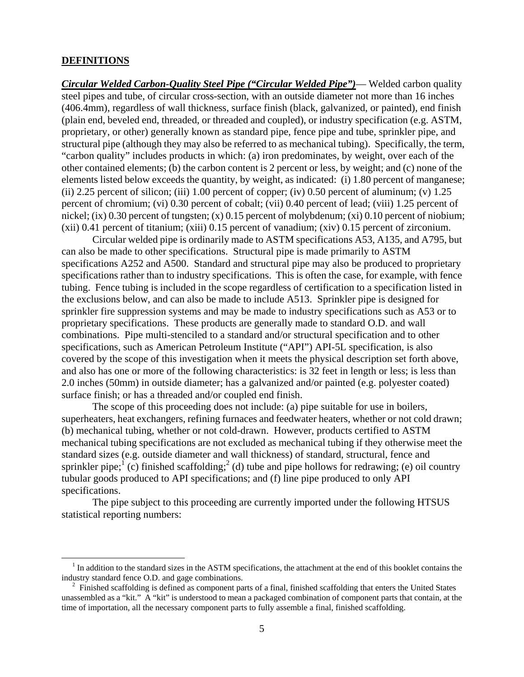#### **DEFINITIONS**

 $\overline{a}$ 

*Circular Welded Carbon-Quality Steel Pipe ("Circular Welded Pipe")*— Welded carbon quality steel pipes and tube, of circular cross-section, with an outside diameter not more than 16 inches (406.4mm), regardless of wall thickness, surface finish (black, galvanized, or painted), end finish (plain end, beveled end, threaded, or threaded and coupled), or industry specification (e.g. ASTM, proprietary, or other) generally known as standard pipe, fence pipe and tube, sprinkler pipe, and structural pipe (although they may also be referred to as mechanical tubing). Specifically, the term, "carbon quality" includes products in which: (a) iron predominates, by weight, over each of the other contained elements; (b) the carbon content is 2 percent or less, by weight; and (c) none of the elements listed below exceeds the quantity, by weight, as indicated: (i) 1.80 percent of manganese; (ii) 2.25 percent of silicon; (iii) 1.00 percent of copper; (iv) 0.50 percent of aluminum; (v)  $1.25$ percent of chromium; (vi) 0.30 percent of cobalt; (vii) 0.40 percent of lead; (viii) 1.25 percent of nickel; (ix) 0.30 percent of tungsten; (x) 0.15 percent of molybdenum; (xi) 0.10 percent of niobium; (xii) 0.41 percent of titanium; (xiii) 0.15 percent of vanadium; (xiv) 0.15 percent of zirconium.

 Circular welded pipe is ordinarily made to ASTM specifications A53, A135, and A795, but can also be made to other specifications. Structural pipe is made primarily to ASTM specifications A252 and A500. Standard and structural pipe may also be produced to proprietary specifications rather than to industry specifications. This is often the case, for example, with fence tubing. Fence tubing is included in the scope regardless of certification to a specification listed in the exclusions below, and can also be made to include A513. Sprinkler pipe is designed for sprinkler fire suppression systems and may be made to industry specifications such as A53 or to proprietary specifications. These products are generally made to standard O.D. and wall combinations. Pipe multi-stenciled to a standard and/or structural specification and to other specifications, such as American Petroleum Institute ("API") API-5L specification, is also covered by the scope of this investigation when it meets the physical description set forth above, and also has one or more of the following characteristics: is 32 feet in length or less; is less than 2.0 inches (50mm) in outside diameter; has a galvanized and/or painted (e.g. polyester coated) surface finish; or has a threaded and/or coupled end finish.

 The scope of this proceeding does not include: (a) pipe suitable for use in boilers, superheaters, heat exchangers, refining furnaces and feedwater heaters, whether or not cold drawn; (b) mechanical tubing, whether or not cold-drawn. However, products certified to ASTM mechanical tubing specifications are not excluded as mechanical tubing if they otherwise meet the standard sizes (e.g. outside diameter and wall thickness) of standard, structural, fence and sprinkler pipe;  $(c)$  finished scaffolding;  $(c)$  tube and pipe hollows for redrawing; (e) oil country tubular goods produced to API specifications; and (f) line pipe produced to only API specifications.

 The pipe subject to this proceeding are currently imported under the following HTSUS statistical reporting numbers:

<sup>&</sup>lt;sup>1</sup> In addition to the standard sizes in the ASTM specifications, the attachment at the end of this booklet contains the industry standard fence O.D. and gage combinations.

<sup>2</sup> Finished scaffolding is defined as component parts of a final, finished scaffolding that enters the United States unassembled as a "kit." A "kit" is understood to mean a packaged combination of component parts that contain, at the time of importation, all the necessary component parts to fully assemble a final, finished scaffolding.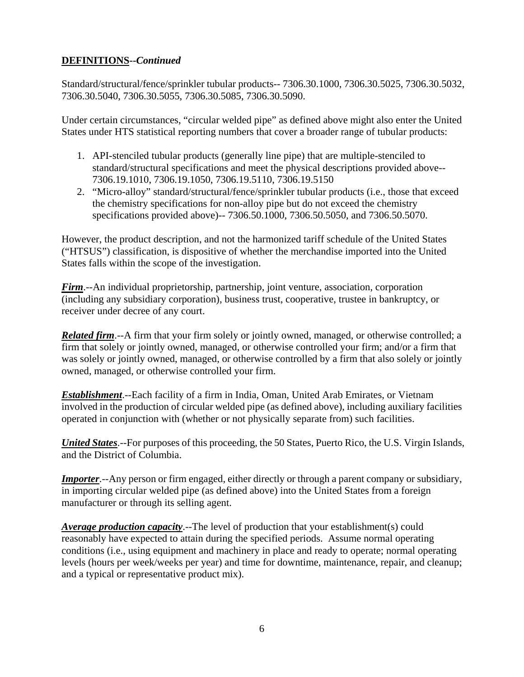## **DEFINITIONS--***Continued*

Standard/structural/fence/sprinkler tubular products-- 7306.30.1000, 7306.30.5025, 7306.30.5032, 7306.30.5040, 7306.30.5055, 7306.30.5085, 7306.30.5090.

Under certain circumstances, "circular welded pipe" as defined above might also enter the United States under HTS statistical reporting numbers that cover a broader range of tubular products:

- 1. API-stenciled tubular products (generally line pipe) that are multiple-stenciled to standard/structural specifications and meet the physical descriptions provided above-- 7306.19.1010, 7306.19.1050, 7306.19.5110, 7306.19.5150
- 2. "Micro-alloy" standard/structural/fence/sprinkler tubular products (i.e., those that exceed the chemistry specifications for non-alloy pipe but do not exceed the chemistry specifications provided above)-- 7306.50.1000, 7306.50.5050, and 7306.50.5070.

However, the product description, and not the harmonized tariff schedule of the United States ("HTSUS") classification, is dispositive of whether the merchandise imported into the United States falls within the scope of the investigation.

*Firm*.--An individual proprietorship, partnership, joint venture, association, corporation (including any subsidiary corporation), business trust, cooperative, trustee in bankruptcy, or receiver under decree of any court.

*Related firm*.--A firm that your firm solely or jointly owned, managed, or otherwise controlled; a firm that solely or jointly owned, managed, or otherwise controlled your firm; and/or a firm that was solely or jointly owned, managed, or otherwise controlled by a firm that also solely or jointly owned, managed, or otherwise controlled your firm.

*Establishment*.--Each facility of a firm in India, Oman, United Arab Emirates, or Vietnam involved in the production of circular welded pipe (as defined above), including auxiliary facilities operated in conjunction with (whether or not physically separate from) such facilities.

*United States*.--For purposes of this proceeding, the 50 States, Puerto Rico, the U.S. Virgin Islands, and the District of Columbia.

*Importer*.--Any person or firm engaged, either directly or through a parent company or subsidiary, in importing circular welded pipe (as defined above) into the United States from a foreign manufacturer or through its selling agent.

*Average production capacity*.--The level of production that your establishment(s) could reasonably have expected to attain during the specified periods. Assume normal operating conditions (i.e., using equipment and machinery in place and ready to operate; normal operating levels (hours per week/weeks per year) and time for downtime, maintenance, repair, and cleanup; and a typical or representative product mix).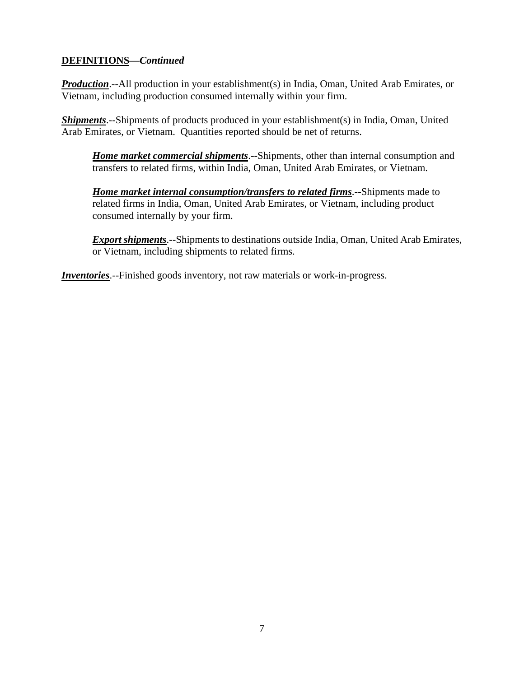### **DEFINITIONS—***Continued*

*Production*.--All production in your establishment(s) in India, Oman, United Arab Emirates, or Vietnam, including production consumed internally within your firm.

*Shipments*.--Shipments of products produced in your establishment(s) in India, Oman, United Arab Emirates, or Vietnam. Quantities reported should be net of returns.

*Home market commercial shipments*.--Shipments, other than internal consumption and transfers to related firms, within India, Oman, United Arab Emirates, or Vietnam.

*Home market internal consumption/transfers to related firms*.--Shipments made to related firms in India, Oman, United Arab Emirates, or Vietnam, including product consumed internally by your firm.

*Export shipments*.--Shipments to destinations outside India, Oman, United Arab Emirates, or Vietnam, including shipments to related firms.

*Inventories*.--Finished goods inventory, not raw materials or work-in-progress.